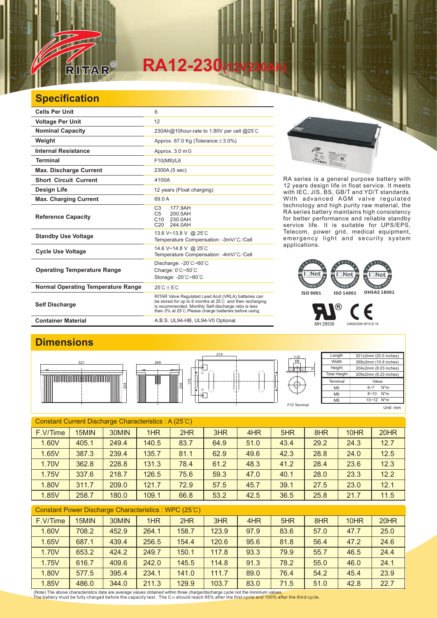

## **RA12-230(12V230Ah)**

## **Specification**

| <b>Cells Per Unit</b>                     | 6                                                                                                                                                                                                                                  |
|-------------------------------------------|------------------------------------------------------------------------------------------------------------------------------------------------------------------------------------------------------------------------------------|
| <b>Voltage Per Unit</b>                   | 12                                                                                                                                                                                                                                 |
| <b>Nominal Capacity</b>                   | 230Ah@10hour-rate to 1.80V per cell @25°C                                                                                                                                                                                          |
| Weight                                    | Approx. 67.0 Kg (Tolerance $\pm$ 3.0%)                                                                                                                                                                                             |
| <b>Internal Resistance</b>                | Approx. $3.0 \text{ m}\Omega$                                                                                                                                                                                                      |
| <b>Terminal</b>                           | F10(M8)/L6                                                                                                                                                                                                                         |
| <b>Max. Discharge Current</b>             | 2300A (5 sec)                                                                                                                                                                                                                      |
| <b>Short Circuit Current</b>              | 4100A                                                                                                                                                                                                                              |
| <b>Design Life</b>                        | 12 years (Float charging)                                                                                                                                                                                                          |
| <b>Max. Charging Current</b>              | 69.0 A                                                                                                                                                                                                                             |
| <b>Reference Capacity</b>                 | C <sub>3</sub><br>177.9AH<br>C <sub>5</sub><br>200.5AH<br>C <sub>10</sub><br>230.0AH<br>C20<br>244.0AH                                                                                                                             |
| <b>Standby Use Voltage</b>                | 13.6 V~13.8 V @ 25°C<br>Temperature Compensation: -3mV/°C/Cell                                                                                                                                                                     |
| <b>Cycle Use Voltage</b>                  | 14.6 V~14.8 V @ 25°C<br>Temperature Compensation: -4mV/°C/Cell                                                                                                                                                                     |
| <b>Operating Temperature Range</b>        | Discharge: -20°C~60°C<br>Charge: 0°C~50°C<br>Storage: -20°C~60°C                                                                                                                                                                   |
| <b>Normal Operating Temperature Range</b> | $25^{\circ}$ C + 5 $^{\circ}$ C                                                                                                                                                                                                    |
| <b>Self Discharge</b>                     | RITAR Valve Regulated Lead Acid (VRLA) batteries can<br>be stored for up to 6 months at 25°C and then recharging<br>is recommended. Monthly Self-discharge ratio is less<br>than 3% at 25°C. Please charge batteries before using. |
| <b>Container Material</b>                 | A.B.S. UL94-HB, UL94-V0 Optional.                                                                                                                                                                                                  |

RA series is a general purpose battery with 12 years design life in float service. It meets with IEC, JIS, BS, GB/T and YD/T standards. With advanced AGM valve regulated technology and high purity raw material, the RA series battery maintains high consistency for better performance and reliable standby service life. It is suitable for UPS/EPS, Telecom, power grid, medical equipment, emergency light and security system applications.



MH 28539 G4M20206-0910-E-16

Є

## **Dimensions**



| Constant Current Discharge Characteristics: A (25°C) |       |       |       |      |      |      |      |      |      |      |
|------------------------------------------------------|-------|-------|-------|------|------|------|------|------|------|------|
| F.V/Time                                             | 15MIN | 30MIN | 1HR   | 2HR  | 3HR  | 4HR  | 5HR  | 8HR  | 10HR | 20HR |
| 1.60V                                                | 405.1 | 249.4 | 140.5 | 83.7 | 64.9 | 51.0 | 43.4 | 29.2 | 24.3 | 12.7 |
| 1.65V                                                | 387.3 | 239.4 | 135.7 | 81.1 | 62.9 | 49.6 | 42.3 | 28.8 | 24.0 | 12.5 |
| 1.70V                                                | 362.8 | 228.8 | 131.3 | 78.4 | 61.2 | 48.3 | 41.2 | 28.4 | 23.6 | 12.3 |
| 1.75V                                                | 337.6 | 218.7 | 126.5 | 75.6 | 59.3 | 47.0 | 40.1 | 28.0 | 23.3 | 12.2 |
| 1.80V                                                | 311.7 | 209.0 | 121.7 | 72.9 | 57.5 | 45.7 | 39.1 | 27.5 | 23.0 | 12.1 |
| 1.85V                                                | 258.7 | 180.0 | 109.1 | 66.8 | 53.2 | 42.5 | 36.5 | 25.8 | 21.7 | 11.5 |

| <b>Constant Power Discharge Characteristics: WPC (25°C)</b> |       |       |       |       |       |      |      |      |      |      |
|-------------------------------------------------------------|-------|-------|-------|-------|-------|------|------|------|------|------|
| F.V/Time                                                    | 15MIN | 30MIN | 1HR   | 2HR   | 3HR   | 4HR  | 5HR  | 8HR  | 10HR | 20HR |
| 1.60V                                                       | 708.2 | 452.9 | 264.1 | 158.7 | 123.9 | 97.9 | 83.6 | 57.0 | 47.7 | 25.0 |
| 1.65V                                                       | 687.1 | 439.4 | 256.5 | 154.4 | 120.6 | 95.6 | 81.8 | 56.4 | 47.2 | 24.6 |
| 1.70V                                                       | 653.2 | 424.2 | 249.7 | 150.1 | 117.8 | 93.3 | 79.9 | 55.7 | 46.5 | 24.4 |
| 1.75V                                                       | 616.7 | 409.6 | 242.0 | 145.5 | 114.8 | 91.3 | 78.2 | 55.0 | 46.0 | 24.1 |
| 1.80V                                                       | 577.5 | 395.4 | 234.1 | 141.0 | 111.7 | 89.0 | 76.4 | 54.2 | 45.4 | 23.9 |
| 1.85V                                                       | 486.0 | 344.0 | 211.3 | 129.9 | 103.7 | 83.0 | 71.5 | 51.0 | 42.8 | 22.7 |

(Note) The above characteristics data are average values obtained within three charge/discharge cycle not the minimum values.<br>The battery must be fully charged before the capacity test. The C10 should reach 95% after the